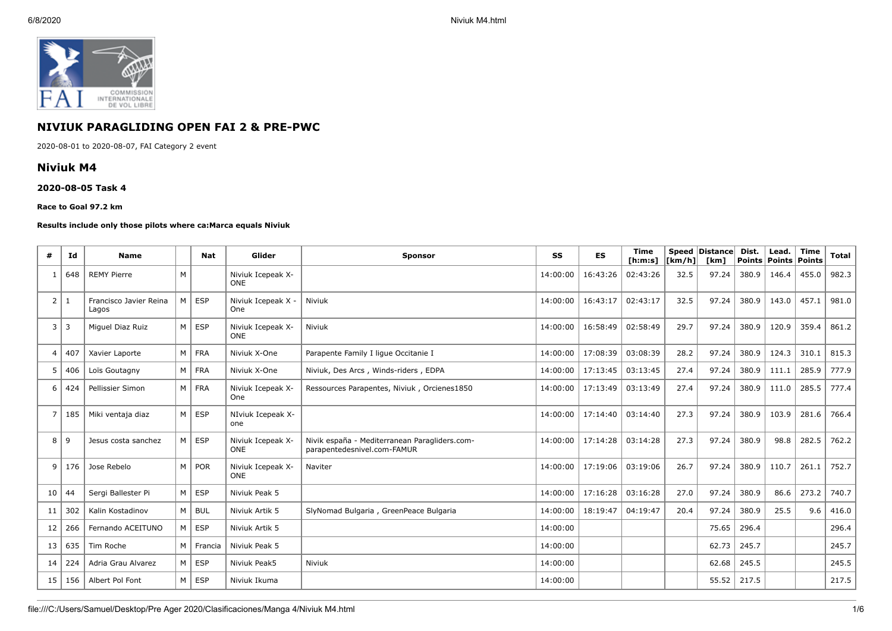

# **NIVIUK PARAGLIDING OPEN FAI 2 & PRE-PWC**

2020-08-01 to 2020-08-07, FAI Category 2 event

## **Niviuk M4**

### **2020-08-05 Task 4**

#### **Race to Goal 97.2 km**

### **Results include only those pilots where ca:Marca equals Niviuk**

| #               | Id  | <b>Name</b>                     |                | <b>Nat</b>    | Glider                          | <b>Sponsor</b>                                                               | SS       | ES       | <b>Time</b><br>[ <b>h</b> : <b>m</b> : <b>s</b> ] | $\lfloor \lfloor km/h \rfloor \rfloor$ | Speed   Distance  <br>[km] | Dist. | Lead.<br>Points Points | Time<br>Points | <b>Total</b> |
|-----------------|-----|---------------------------------|----------------|---------------|---------------------------------|------------------------------------------------------------------------------|----------|----------|---------------------------------------------------|----------------------------------------|----------------------------|-------|------------------------|----------------|--------------|
| $\mathbf{1}$    | 648 | <b>REMY Pierre</b>              | M              |               | Niviuk Icepeak X-<br><b>ONE</b> |                                                                              | 14:00:00 | 16:43:26 | 02:43:26                                          | 32.5                                   | 97.24                      | 380.9 | 146.4                  | 455.0          | 982.3        |
| 2 1             |     | Francisco Javier Reina<br>Lagos | M <sub>1</sub> | ESP           | Niviuk Icepeak X -<br>One       | Niviuk                                                                       | 14:00:00 | 16:43:17 | 02:43:17                                          | 32.5                                   | 97.24                      | 380.9 | 143.0                  | 457.1          | 981.0        |
| 3               | 3   | Miguel Diaz Ruiz                | M <sub>1</sub> | <b>ESP</b>    | Niviuk Icepeak X-<br><b>ONE</b> | Niviuk                                                                       | 14:00:00 | 16:58:49 | 02:58:49                                          | 29.7                                   | 97.24                      | 380.9 | 120.9                  | 359.4          | 861.2        |
| $\overline{4}$  | 407 | Xavier Laporte                  |                | M FRA         | Niviuk X-One                    | Parapente Family I lique Occitanie I                                         | 14:00:00 | 17:08:39 | 03:08:39                                          | 28.2                                   | 97.24                      | 380.9 | 124.3                  | 310.1          | 815.3        |
| 5               | 406 | Loïs Goutagny                   | M <sub>1</sub> | FRA           | Niviuk X-One                    | Niviuk, Des Arcs, Winds-riders, EDPA                                         | 14:00:00 | 17:13:45 | 03:13:45                                          | 27.4                                   | 97.24                      | 380.9 | 111.1                  | 285.9          | 777.9        |
| 6               | 424 | Pellissier Simon                |                | M FRA         | Niviuk Icepeak X-<br>One        | Ressources Parapentes, Niviuk, Orcienes1850                                  | 14:00:00 | 17:13:49 | 03:13:49                                          | 27.4                                   | 97.24                      | 380.9 | 111.0                  | 285.5          | 777.4        |
| $\overline{7}$  | 185 | Miki ventaja diaz               | M <sub>1</sub> | <b>ESP</b>    | NIviuk Icepeak X-<br>one        |                                                                              | 14:00:00 | 17:14:40 | 03:14:40                                          | 27.3                                   | 97.24                      | 380.9 | 103.9                  | 281.6          | 766.4        |
| 8               | 9   | Jesus costa sanchez             |                | $M \vert$ ESP | Niviuk Icepeak X-<br><b>ONE</b> | Nivik españa - Mediterranean Paragliders.com-<br>parapentedesnivel.com-FAMUR | 14:00:00 | 17:14:28 | 03:14:28                                          | 27.3                                   | 97.24                      | 380.9 | 98.8                   | 282.5          | 762.2        |
| 9               | 176 | Jose Rebelo                     |                | M POR         | Niviuk Icepeak X-<br><b>ONE</b> | Naviter                                                                      | 14:00:00 | 17:19:06 | 03:19:06                                          | 26.7                                   | 97.24                      | 380.9 | 110.7                  | 261.1          | 752.7        |
| 10              | 44  | Sergi Ballester Pi              | M <sub>1</sub> | <b>ESP</b>    | Niviuk Peak 5                   |                                                                              | 14:00:00 | 17:16:28 | 03:16:28                                          | 27.0                                   | 97.24                      | 380.9 | 86.6                   | 273.2          | 740.7        |
| 11              | 302 | Kalin Kostadinov                |                | M   BUL       | Niviuk Artik 5                  | SlyNomad Bulgaria, GreenPeace Bulgaria                                       | 14:00:00 | 18:19:47 | 04:19:47                                          | 20.4                                   | 97.24                      | 380.9 | 25.5                   | 9.6            | 416.0        |
| 12              | 266 | Fernando ACEITUNO               |                | $M \vert$ ESP | Niviuk Artik 5                  |                                                                              | 14:00:00 |          |                                                   |                                        | 75.65                      | 296.4 |                        |                | 296.4        |
| 13 <sup>1</sup> | 635 | Tim Roche                       | M <sub>1</sub> | Francia       | Niviuk Peak 5                   |                                                                              | 14:00:00 |          |                                                   |                                        | 62.73                      | 245.7 |                        |                | 245.7        |
| 14              | 224 | Adria Grau Alvarez              |                | $M \vert$ ESP | Niviuk Peak5                    | Niviuk                                                                       | 14:00:00 |          |                                                   |                                        | 62.68                      | 245.5 |                        |                | 245.5        |
| 15              | 156 | Albert Pol Font                 | M <sub>1</sub> | <b>ESP</b>    | Niviuk Ikuma                    |                                                                              | 14:00:00 |          |                                                   |                                        | 55.52                      | 217.5 |                        |                | 217.5        |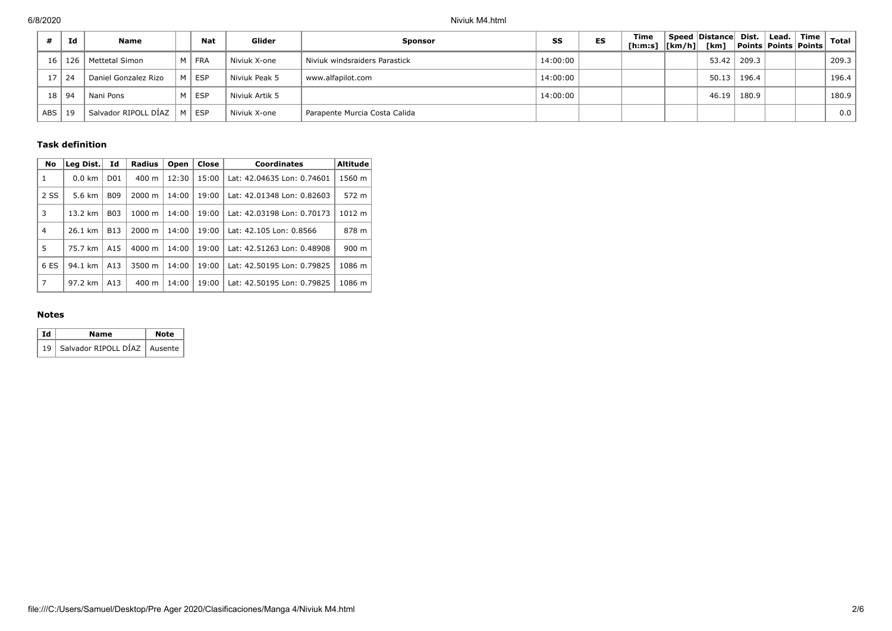|            | Id  | Name                              |   | Nat        | Glider         | <b>Sponsor</b>                | SS       | ES | Time<br>[h:m:s]  [km/h]  [km] | Speed Distance Dist. |       | Lead.  <br><b>Points Points Points</b> | $\mid$ Time | Total |
|------------|-----|-----------------------------------|---|------------|----------------|-------------------------------|----------|----|-------------------------------|----------------------|-------|----------------------------------------|-------------|-------|
| 16         | 126 | Mettetal Simon                    | M | <b>FRA</b> | Niviuk X-one   | Niviuk windsraiders Parastick | 14:00:00 |    |                               | 53.42                | 209.3 |                                        |             | 209.3 |
| 17         | 24  | Daniel Gonzalez Rizo              | M | <b>ESP</b> | Niviuk Peak 5  | www.alfapilot.com             | 14:00:00 |    |                               | 50.13                | 196.4 |                                        |             | 196.4 |
| 18         | 94  | Nani Pons                         | M | <b>ESP</b> | Niviuk Artik 5 |                               | 14:00:00 |    |                               | 46.19                | 180.9 |                                        |             | 180.9 |
| <b>ABS</b> | 19  | <sup>i</sup> Salvador RIPOLL DÍAZ | M | <b>ESP</b> | Niviuk X-one   | Parapente Murcia Costa Calida |          |    |                               |                      |       |                                        |             | 0.0   |

## **Task definition**

| No   | Leg Dist.         | Id              | Radius          | Open  | Close | Coordinates                | Altitude |
|------|-------------------|-----------------|-----------------|-------|-------|----------------------------|----------|
| 1    | $0.0 \text{ km}$  | D <sub>01</sub> | $400 \text{ m}$ | 12:30 | 15:00 | Lat: 42.04635 Lon: 0.74601 | 1560 m   |
| 2 SS | 5.6 km            | <b>B09</b>      | 2000 m          | 14:00 | 19:00 | Lat: 42.01348 Lon: 0.82603 | 572 m    |
| 3    | 13.2 km           | <b>B03</b>      | 1000 m          | 14:00 | 19:00 | Lat: 42.03198 Lon: 0.70173 | 1012 m   |
| 4    | $26.1 \text{ km}$ | <b>B13</b>      | 2000 m          | 14:00 | 19:00 | Lat: 42.105 Lon: 0.8566    | 878 m    |
| 5    | 75.7 km           | A15             | 4000 m          | 14:00 | 19:00 | Lat: 42.51263 Lon: 0.48908 | 900 m    |
| 6 ES | 94.1 km           | A13             | 3500 m          | 14:00 | 19:00 | Lat: 42.50195 Lon: 0.79825 | 1086 m   |
| 7    | 97.2 km           | A13             | $400 \text{ m}$ | 14:00 | 19:00 | Lat: 42.50195 Lon: 0.79825 | 1086 m   |

## **Notes**

| Id | Name                                | Note |
|----|-------------------------------------|------|
|    | 19   Salvador RIPOLL DÍAZ   Ausente |      |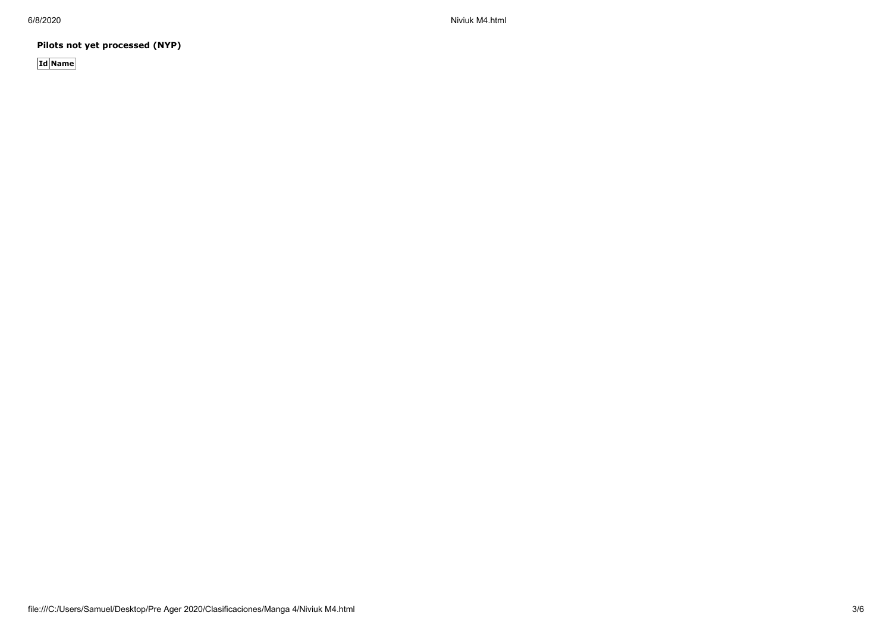6/8/2020 Niviuk M4.html

**Pilots not yet processed (NYP)**

**Id Name**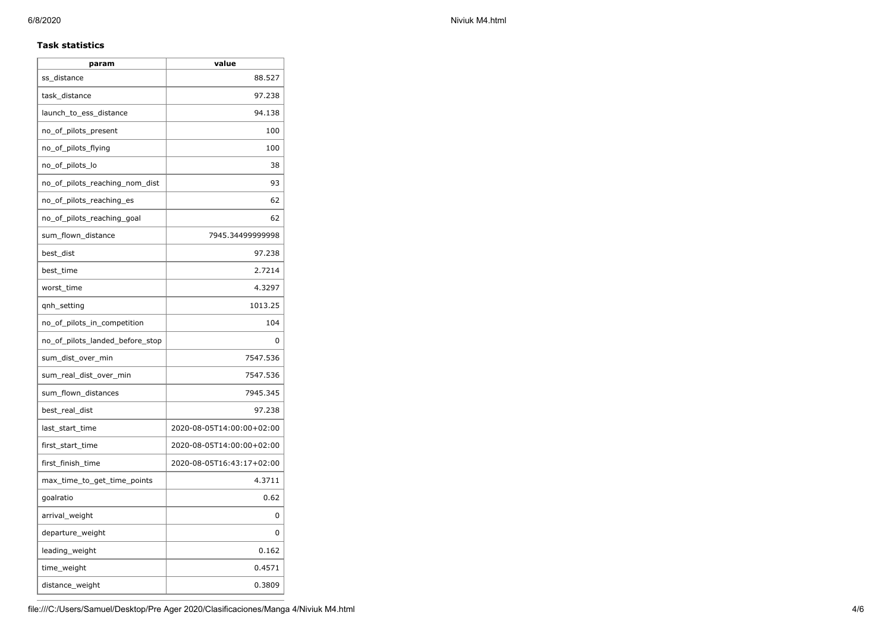### **Task statistics**

| param                           | value                     |
|---------------------------------|---------------------------|
| ss distance                     | 88.527                    |
| task_distance                   | 97.238                    |
| launch_to_ess_distance          | 94.138                    |
| no_of_pilots_present            | 100                       |
| no_of_pilots_flying             | 100                       |
| no_of_pilots_lo                 | 38                        |
| no_of_pilots_reaching_nom_dist  | 93                        |
| no_of_pilots_reaching_es        | 62                        |
| no_of_pilots_reaching_goal      | 62                        |
| sum_flown_distance              | 7945.34499999998          |
| best_dist                       | 97.238                    |
| best time                       | 2.7214                    |
| worst time                      | 4.3297                    |
| qnh_setting                     | 1013.25                   |
| no_of_pilots_in_competition     | 104                       |
| no_of_pilots_landed_before_stop | 0                         |
| sum_dist_over_min               | 7547.536                  |
| sum_real_dist_over_min          | 7547.536                  |
| sum_flown_distances             | 7945.345                  |
| best_real_dist                  | 97.238                    |
| last_start_time                 | 2020-08-05T14:00:00+02:00 |
| first_start_time                | 2020-08-05T14:00:00+02:00 |
| first_finish_time               | 2020-08-05T16:43:17+02:00 |
| max_time_to_get_time_points     | 4.3711                    |
| goalratio                       | 0.62                      |
| arrival_weight                  | 0                         |
| departure_weight                | 0                         |
| leading_weight                  | 0.162                     |
| time_weight                     | 0.4571                    |
| distance_weight                 | 0.3809                    |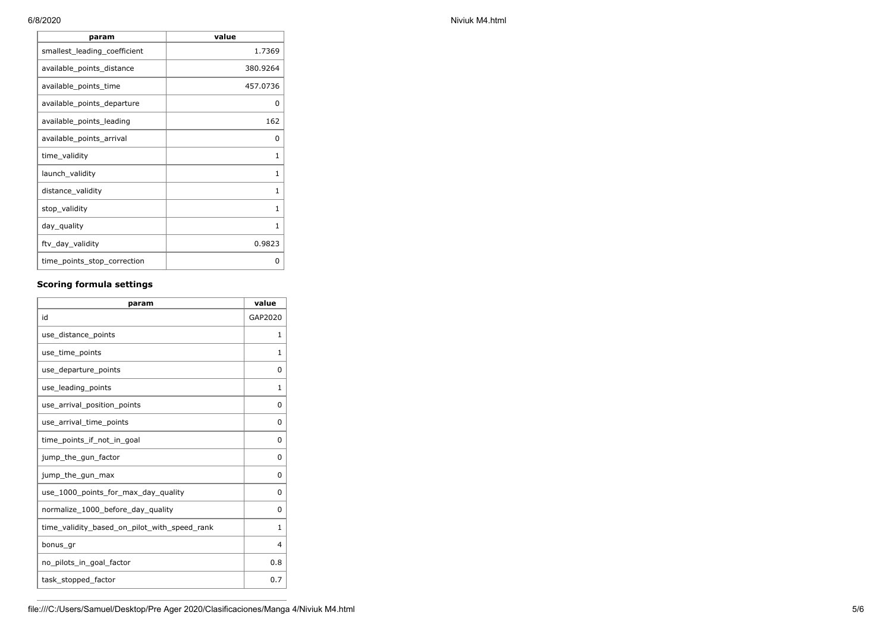| param                        | value        |
|------------------------------|--------------|
| smallest_leading_coefficient | 1.7369       |
| available_points_distance    | 380.9264     |
| available_points_time        | 457.0736     |
| available_points_departure   | 0            |
| available_points_leading     | 162          |
| available_points_arrival     | 0            |
| time_validity                | 1            |
| launch_validity              | 1            |
| distance_validity            | 1            |
| stop_validity                | $\mathbf{1}$ |
| day_quality                  | 1            |
| ftv_day_validity             | 0.9823       |
| time_points_stop_correction  | 0            |

# **Scoring formula settings**

| param                                        | value        |
|----------------------------------------------|--------------|
| id                                           | GAP2020      |
| use_distance_points                          | 1            |
| use_time_points                              | 1            |
| use_departure_points                         | 0            |
| use_leading_points                           | 1            |
| use_arrival_position_points                  | 0            |
| use_arrival_time_points                      | 0            |
| time points if not in goal                   | 0            |
| jump_the_gun_factor                          | 0            |
| jump_the_gun_max                             | 0            |
| use 1000 points for max day quality          | 0            |
| normalize_1000_before_day_quality            | 0            |
| time_validity_based_on_pilot_with_speed_rank | $\mathbf{1}$ |
| bonus gr                                     | 4            |
| no_pilots_in_goal_factor                     | 0.8          |
| task_stopped_factor                          | 0.7          |

6/8/2020 Niviuk M4.html